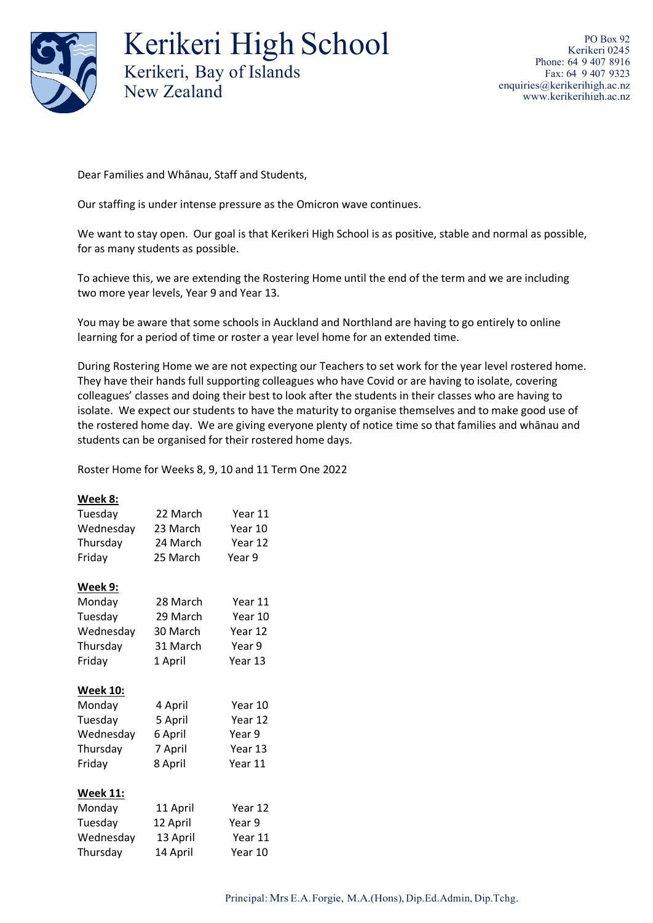

Kerikeri High School Kerikeri, Bay of Islands New Zealand

PO Box 92 Kerikeri 0245 Phone: 64 9 407 8916 Fax: 64 9 407 9323 [enquiries@kerikerihigh.ac.nz](mailto:enquiries@kerikerihigh.ac.nz) [www.kerikerihigh.ac.nz](http://www.kerikerihigh.ac.nz/)

Dear Families and Whānau, Staff and Students,

Our staffing is under intense pressure as the Omicron wave continues.

We want to stay open. Our goal is that Kerikeri High School is as positive, stable and normal as possible, for as many students as possible.

To achieve this, we are extending the Rostering Home until the end of the term and we are including two more year levels, Year 9 and Year 13.

You may be aware that some schools in Auckland and Northland are having to go entirely to online learning for a period of time or roster a year level home for an extended time.

During Rostering Home we are not expecting our Teachers to set work for the year level rostered home. They have their hands full supporting colleagues who have Covid or are having to isolate, covering colleagues' classes and doing their best to look after the students in their classes who are having to isolate. We expect our students to have the maturity to organise themselves and to make good use of the rostered home day. We are giving everyone plenty of notice time so that families and whānau and students can be organised for their rostered home days.

Roster Home for Weeks 8, 9, 10 and 11 Term One 2022

## **Week 8:**

| Tuesday         | 22 March | Year 11 |
|-----------------|----------|---------|
| Wednesday       | 23 March | Year 10 |
| Thursday        | 24 March | Year 12 |
| Friday          | 25 March | Year 9  |
| Week 9:         |          |         |
| Monday          | 28 March | Year 11 |
| Tuesday         | 29 March | Year 10 |
| Wednesday       | 30 March | Year 12 |
| Thursday        | 31 March | Year 9  |
| Friday          | 1 April  | Year 13 |
| <b>Week 10:</b> |          |         |
| Monday          | 4 April  | Year 10 |
| Tuesday         | 5 April  | Year 12 |
| Wednesday       | 6 April  | Year 9  |
| Thursday        | 7 April  | Year 13 |
| Friday          | 8 April  | Year 11 |
| <b>Week 11:</b> |          |         |
| Monday          | 11 April | Year 12 |
| Tuesday         | 12 April | Year 9  |
| Wednesday       | 13 April | Year 11 |
| Thursday        | 14 April | Year 10 |
|                 |          |         |